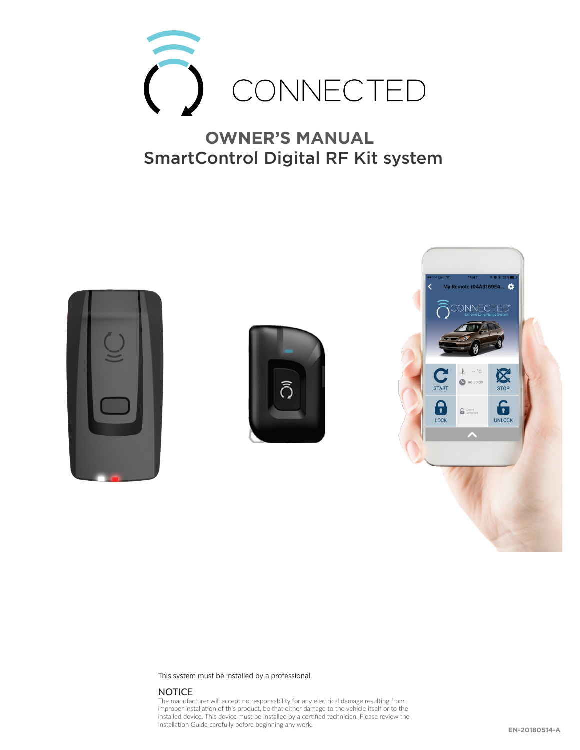

#### **OWNER'S MANUAL** SmartControl Digital RF Kit system







This system must be installed by a professional.

#### **NOTICE**

The manufacturer will accept no responsability for any electrical damage resulting from improper installation of this product, be that either damage to the vehicle itself or to the installed device. This device must be installed by a certified technician. Please review the Installation Guide carefully before beginning any work.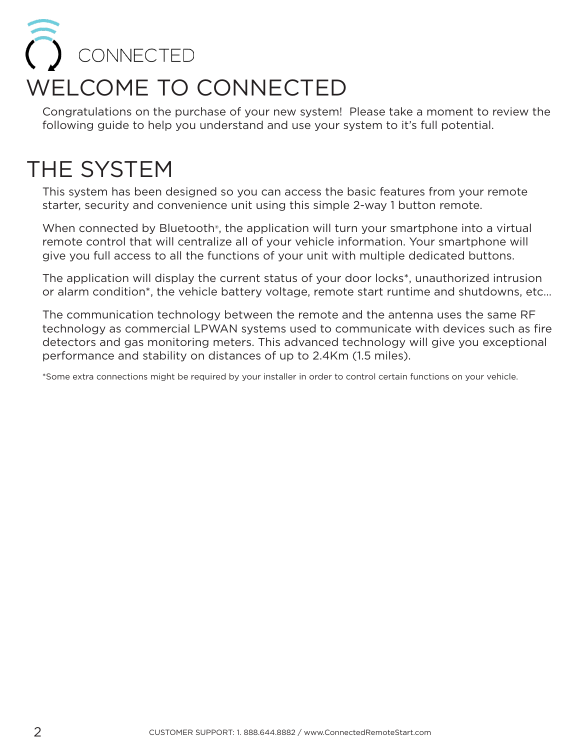### O CONNECTED WELCOME TO CONNECTED

Congratulations on the purchase of your new system! Please take a moment to review the following guide to help you understand and use your system to it's full potential.

### THE SYSTEM

This system has been designed so you can access the basic features from your remote starter, security and convenience unit using this simple 2-way 1 button remote.

When connected by Bluetooth<sup>®</sup>, the application will turn your smartphone into a virtual remote control that will centralize all of your vehicle information. Your smartphone will give you full access to all the functions of your unit with multiple dedicated buttons.

The application will display the current status of your door locks\*, unauthorized intrusion or alarm condition\*, the vehicle battery voltage, remote start runtime and shutdowns, etc…

The communication technology between the remote and the antenna uses the same RF technology as commercial LPWAN systems used to communicate with devices such as fire detectors and gas monitoring meters. This advanced technology will give you exceptional performance and stability on distances of up to 2.4Km (1.5 miles).

\*Some extra connections might be required by your installer in order to control certain functions on your vehicle.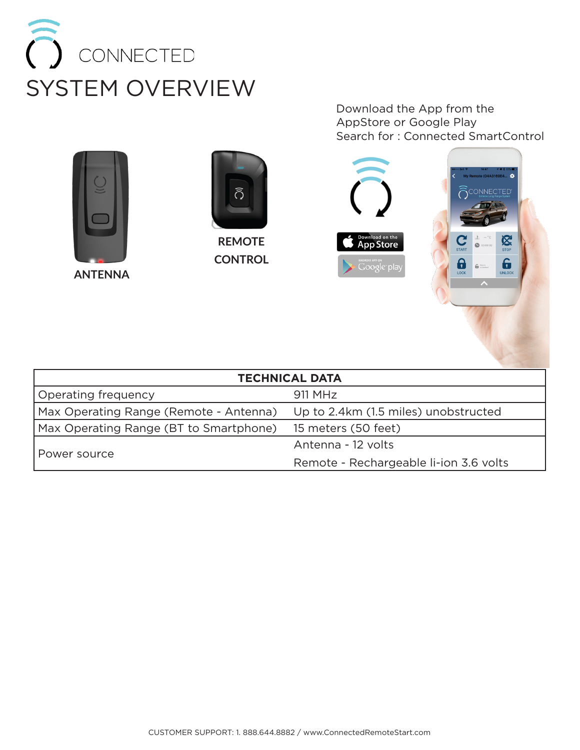

**ANTENNA**



**REMOTE CONTROL**

Download the App from the AppStore or Google Play Search for : Connected SmartControl



| <b>TECHNICAL DATA</b>                  |                                        |  |
|----------------------------------------|----------------------------------------|--|
| Operating frequency                    | 911 MHz                                |  |
| Max Operating Range (Remote - Antenna) | Up to 2.4km (1.5 miles) unobstructed   |  |
| Max Operating Range (BT to Smartphone) | 15 meters (50 feet)                    |  |
| Power source                           | Antenna - 12 volts                     |  |
|                                        | Remote - Rechargeable li-ion 3.6 volts |  |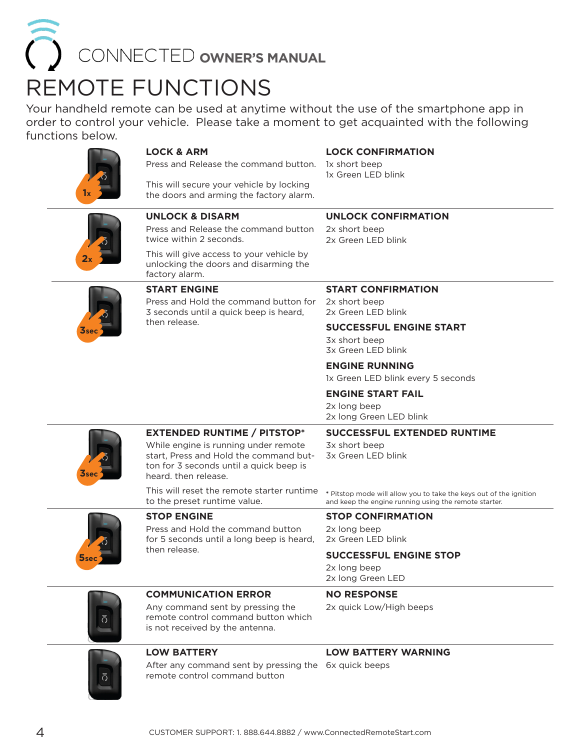### REMOTE FUNCTIONS CONNECTED OWNER'S MANUAL

Your handheld remote can be used at anytime without the use of the smartphone app in order to control your vehicle. Please take a moment to get acquainted with the following functions below.



#### **LOCK & ARM**

#### **LOCK CONFIRMATION**

1x short beep 1x Green LED blink

Press and Release the command button.

This will secure your vehicle by locking the doors and arming the fact

# **2x**

|                 | <b>COMMUNICATION ERROR</b>                                                                                                                                                              | <b>NO RESPONSE</b>                                                                                                          |
|-----------------|-----------------------------------------------------------------------------------------------------------------------------------------------------------------------------------------|-----------------------------------------------------------------------------------------------------------------------------|
|                 |                                                                                                                                                                                         | 2x long beep<br>2x long Green LED                                                                                           |
| $\mathbf 5$ sec | then release.                                                                                                                                                                           | <b>SUCCESSFUL ENGINE STOP</b>                                                                                               |
|                 | Press and Hold the command button<br>for 5 seconds until a long beep is heard,                                                                                                          | 2x long beep<br>2x Green LED blink                                                                                          |
|                 | <b>STOP ENGINE</b>                                                                                                                                                                      | <b>STOP CONFIRMATION</b>                                                                                                    |
|                 | This will reset the remote starter runtime<br>to the preset runtime value.                                                                                                              | * Pitstop mode will allow you to take the keys out of the ignition<br>and keep the engine running using the remote starter. |
| <b>3sec</b>     | <b>EXTENDED RUNTIME / PITSTOP*</b><br>While engine is running under remote<br>start, Press and Hold the command but-<br>ton for 3 seconds until a quick beep is<br>heard, then release. | <b>SUCCESSFUL EXTENDED RUNTIME</b><br>3x short beep<br>3x Green LED blink                                                   |
|                 |                                                                                                                                                                                         | 2x long Green LED blink                                                                                                     |
|                 |                                                                                                                                                                                         | 2x long beep                                                                                                                |
|                 |                                                                                                                                                                                         | 1x Green LED blink every 5 seconds<br><b>ENGINE START FAIL</b>                                                              |
|                 |                                                                                                                                                                                         | <b>ENGINE RUNNING</b>                                                                                                       |
|                 |                                                                                                                                                                                         | 3x Green LED blink                                                                                                          |
|                 |                                                                                                                                                                                         | <b>SUCCESSFUL ENGINE START</b><br>3x short beep                                                                             |
|                 | 3 seconds until a quick beep is heard,<br>then release.                                                                                                                                 | 2x Green LED blink                                                                                                          |
|                 | Press and Hold the command button for                                                                                                                                                   | 2x short beep                                                                                                               |
|                 | unlocking the doors and disarming the<br>factory alarm.<br><b>START ENGINE</b>                                                                                                          | <b>START CONFIRMATION</b>                                                                                                   |
|                 | This will give access to your vehicle by                                                                                                                                                |                                                                                                                             |
|                 | Press and Release the command button<br>twice within 2 seconds.                                                                                                                         | 2x short beep<br>2x Green LED blink                                                                                         |
|                 | <b>UNLOCK &amp; DISARM</b>                                                                                                                                                              | <b>UNLOCK CONFIRMATION</b>                                                                                                  |
|                 | the doors and arming the factory alarm.                                                                                                                                                 |                                                                                                                             |



#### **COMMUNICATION ERROR**

Any command sent by pressing the remote control command button which is not received by the antenna.

#### **LOW BATTERY WARNING**

2x quick Low/High beeps



#### **LOW BATTERY**

After any command sent by pressing the 6x quick beeps remote control command button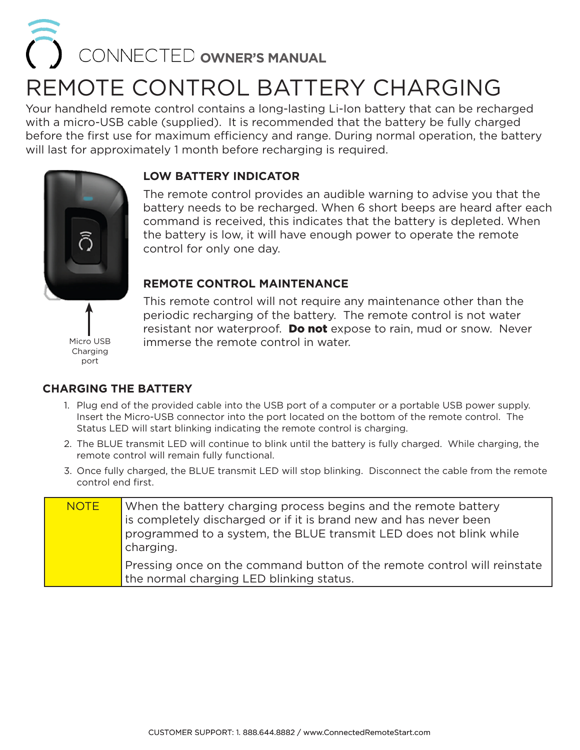## REMOTE CONTROL BATTERY CHARGING CONNECTED **OWNER'S MANUAL**

Your handheld remote control contains a long-lasting Li-Ion battery that can be recharged with a micro-USB cable (supplied). It is recommended that the battery be fully charged before the first use for maximum efficiency and range. During normal operation, the battery will last for approximately 1 month before recharging is required.

#### **LOW BATTERY INDICATOR**

The remote control provides an audible warning to advise you that the battery needs to be recharged. When 6 short beeps are heard after each command is received, this indicates that the battery is depleted. When the battery is low, it will have enough power to operate the remote control for only one day.

#### **REMOTE CONTROL MAINTENANCE**

Micro USB Charging port

This remote control will not require any maintenance other than the periodic recharging of the battery. The remote control is not water resistant nor waterproof. **Do not** expose to rain, mud or snow. Never immerse the remote control in water.

#### **CHARGING THE BATTERY**

- 1. Plug end of the provided cable into the USB port of a computer or a portable USB power supply. Insert the Micro-USB connector into the port located on the bottom of the remote control. The Status LED will start blinking indicating the remote control is charging.
- 2. The BLUE transmit LED will continue to blink until the battery is fully charged. While charging, the remote control will remain fully functional.
- 3. Once fully charged, the BLUE transmit LED will stop blinking. Disconnect the cable from the remote control end first.

| <b>NOTE</b> | When the battery charging process begins and the remote battery<br>is completely discharged or if it is brand new and has never been<br>programmed to a system, the BLUE transmit LED does not blink while<br>charging. |
|-------------|-------------------------------------------------------------------------------------------------------------------------------------------------------------------------------------------------------------------------|
|             | Pressing once on the command button of the remote control will reinstate<br>the normal charging LED blinking status.                                                                                                    |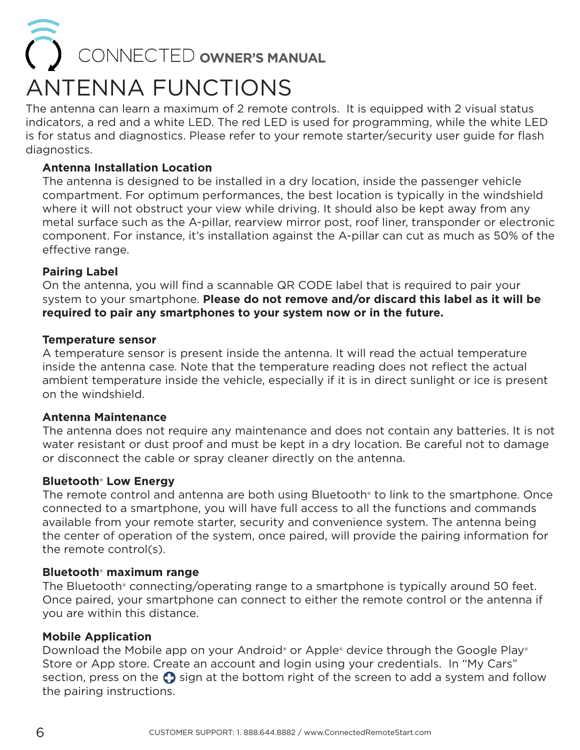### ANTENNA FUNCTIONS  $\bigcirc$  CONNECTED **owner's MANUAL**

The antenna can learn a maximum of 2 remote controls. It is equipped with 2 visual status indicators, a red and a white LED. The red LED is used for programming, while the white LED is for status and diagnostics. Please refer to your remote starter/security user guide for flash diagnostics.

#### **Antenna Installation Location**

The antenna is designed to be installed in a dry location, inside the passenger vehicle compartment. For optimum performances, the best location is typically in the windshield where it will not obstruct your view while driving. It should also be kept away from any metal surface such as the A-pillar, rearview mirror post, roof liner, transponder or electronic component. For instance, it's installation against the A-pillar can cut as much as 50% of the effective range.

#### **Pairing Label**

On the antenna, you will find a scannable QR CODE label that is required to pair your system to your smartphone. **Please do not remove and/or discard this label as it will be required to pair any smartphones to your system now or in the future.**

#### **Temperature sensor**

A temperature sensor is present inside the antenna. It will read the actual temperature inside the antenna case. Note that the temperature reading does not reflect the actual ambient temperature inside the vehicle, especially if it is in direct sunlight or ice is present on the windshield.

#### **Antenna Maintenance**

The antenna does not require any maintenance and does not contain any batteries. It is not water resistant or dust proof and must be kept in a dry location. Be careful not to damage or disconnect the cable or spray cleaner directly on the antenna.

#### **Bluetooth**® **Low Energy**

The remote control and antenna are both using Bluetooth® to link to the smartphone. Once connected to a smartphone, you will have full access to all the functions and commands available from your remote starter, security and convenience system. The antenna being the center of operation of the system, once paired, will provide the pairing information for the remote control(s).

#### **Bluetooth**® **maximum range**

The Bluetooth® connecting/operating range to a smartphone is typically around 50 feet. Once paired, your smartphone can connect to either the remote control or the antenna if you are within this distance.

#### **Mobile Application**

Download the Mobile app on your Android® or Apple® device through the Google Play® Store or App store. Create an account and login using your credentials. In "My Cars" section, press on the  $\Omega$  sign at the bottom right of the screen to add a system and follow the pairing instructions.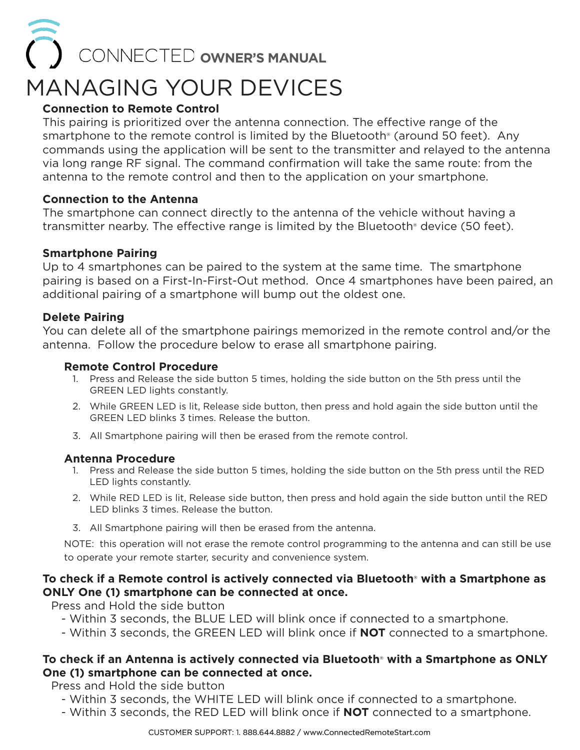### MANAGING YOUR DEVICES **CONNECTED OWNER'S MANUAL**

#### **Connection to Remote Control**

This pairing is prioritized over the antenna connection. The effective range of the smartphone to the remote control is limited by the Bluetooth<sup>®</sup> (around 50 feet). Any commands using the application will be sent to the transmitter and relayed to the antenna via long range RF signal. The command confirmation will take the same route: from the antenna to the remote control and then to the application on your smartphone.

#### **Connection to the Antenna**

The smartphone can connect directly to the antenna of the vehicle without having a transmitter nearby. The effective range is limited by the Bluetooth® device (50 feet).

#### **Smartphone Pairing**

Up to 4 smartphones can be paired to the system at the same time. The smartphone pairing is based on a First-In-First-Out method. Once 4 smartphones have been paired, an additional pairing of a smartphone will bump out the oldest one.

#### **Delete Pairing**

You can delete all of the smartphone pairings memorized in the remote control and/or the antenna. Follow the procedure below to erase all smartphone pairing.

#### **Remote Control Procedure**

- 1. Press and Release the side button 5 times, holding the side button on the 5th press until the GREEN LED lights constantly.
- 2. While GREEN LED is lit, Release side button, then press and hold again the side button until the GREEN LED blinks 3 times. Release the button.
- 3. All Smartphone pairing will then be erased from the remote control.

#### **Antenna Procedure**

- 1. Press and Release the side button 5 times, holding the side button on the 5th press until the RED LED lights constantly.
- 2. While RED LED is lit, Release side button, then press and hold again the side button until the RED LED blinks 3 times. Release the button.
- 3. All Smartphone pairing will then be erased from the antenna.

NOTE: this operation will not erase the remote control programming to the antenna and can still be use to operate your remote starter, security and convenience system.

#### **To check if a Remote control is actively connected via Bluetooth**® **with a Smartphone as ONLY One (1) smartphone can be connected at once.**

Press and Hold the side button

- Within 3 seconds, the BLUE LED will blink once if connected to a smartphone.
- Within 3 seconds, the GREEN LED will blink once if **NOT** connected to a smartphone.

#### **To check if an Antenna is actively connected via Bluetooth**® **with a Smartphone as ONLY One (1) smartphone can be connected at once.**

Press and Hold the side button

- Within 3 seconds, the WHITE LED will blink once if connected to a smartphone.
- Within 3 seconds, the RED LED will blink once if **NOT** connected to a smartphone.